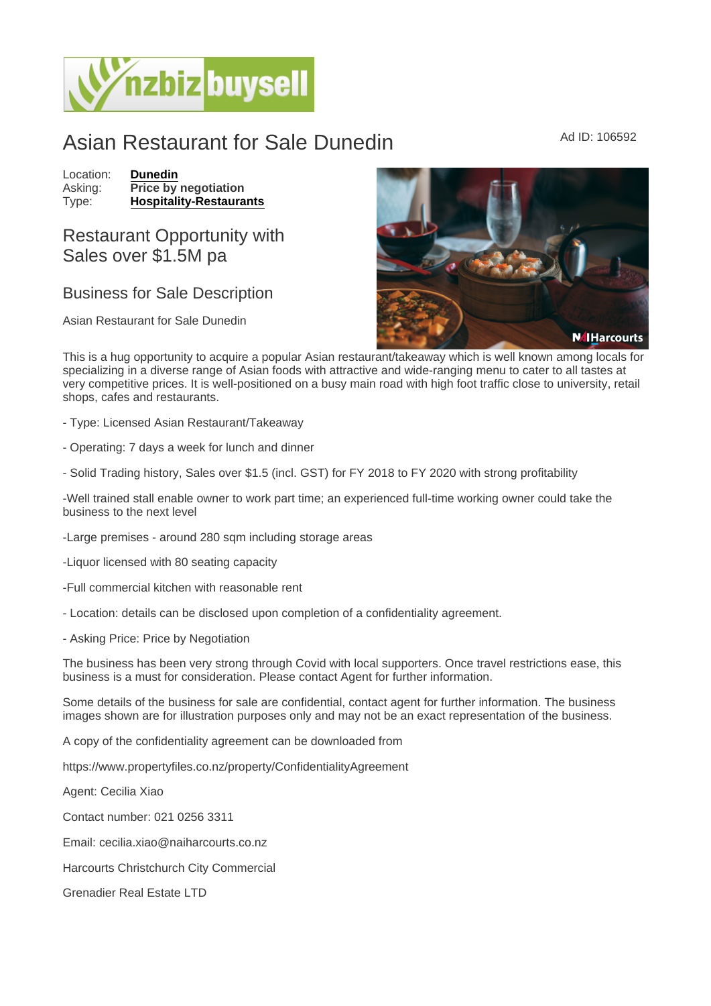## Asian Restaurant for Sale Dunedin Ad ID: 106592

Location: [Dunedin](https://www.nzbizbuysell.co.nz/businesses-for-sale/location/Dunedin) Asking: Price by negotiation<br>Type: Hospitality-Restaura [Hospitality-Restaurants](https://www.nzbizbuysell.co.nz/businesses-for-sale/Restaurants/New-Zealand)

## Restaurant Opportunity with Sales over \$1.5M pa

## Business for Sale Description

Asian Restaurant for Sale Dunedin

This is a hug opportunity to acquire a popular Asian restaurant/takeaway which is well known among locals for specializing in a diverse range of Asian foods with attractive and wide-ranging menu to cater to all tastes at very competitive prices. It is well-positioned on a busy main road with high foot traffic close to university, retail shops, cafes and restaurants.

- Type: Licensed Asian Restaurant/Takeaway
- Operating: 7 days a week for lunch and dinner
- Solid Trading history, Sales over \$1.5 (incl. GST) for FY 2018 to FY 2020 with strong profitability

-Well trained stall enable owner to work part time; an experienced full-time working owner could take the business to the next level

-Large premises - around 280 sqm including storage areas

-Liquor licensed with 80 seating capacity

-Full commercial kitchen with reasonable rent

- Location: details can be disclosed upon completion of a confidentiality agreement.

- Asking Price: Price by Negotiation

The business has been very strong through Covid with local supporters. Once travel restrictions ease, this business is a must for consideration. Please contact Agent for further information.

Some details of the business for sale are confidential, contact agent for further information. The business images shown are for illustration purposes only and may not be an exact representation of the business.

A copy of the confidentiality agreement can be downloaded from

https://www.propertyfiles.co.nz/property/ConfidentialityAgreement

Agent: Cecilia Xiao

Contact number: 021 0256 3311

Email: cecilia.xiao@naiharcourts.co.nz

Harcourts Christchurch City Commercial

Grenadier Real Estate LTD